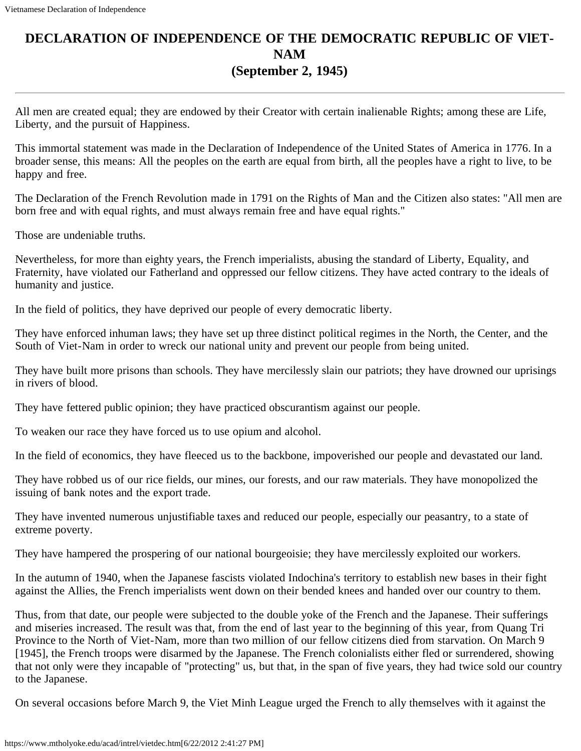## **DECLARATION OF INDEPENDENCE OF THE DEMOCRATIC REPUBLIC OF VlET-NAM (September 2, 1945)**

All men are created equal; they are endowed by their Creator with certain inalienable Rights; among these are Life, Liberty, and the pursuit of Happiness.

This immortal statement was made in the Declaration of Independence of the United States of America in 1776. In a broader sense, this means: All the peoples on the earth are equal from birth, all the peoples have a right to live, to be happy and free.

The Declaration of the French Revolution made in 1791 on the Rights of Man and the Citizen also states: "All men are born free and with equal rights, and must always remain free and have equal rights."

Those are undeniable truths.

Nevertheless, for more than eighty years, the French imperialists, abusing the standard of Liberty, Equality, and Fraternity, have violated our Fatherland and oppressed our fellow citizens. They have acted contrary to the ideals of humanity and justice.

In the field of politics, they have deprived our people of every democratic liberty.

They have enforced inhuman laws; they have set up three distinct political regimes in the North, the Center, and the South of Viet-Nam in order to wreck our national unity and prevent our people from being united.

They have built more prisons than schools. They have mercilessly slain our patriots; they have drowned our uprisings in rivers of blood.

They have fettered public opinion; they have practiced obscurantism against our people.

To weaken our race they have forced us to use opium and alcohol.

In the field of economics, they have fleeced us to the backbone, impoverished our people and devastated our land.

They have robbed us of our rice fields, our mines, our forests, and our raw materials. They have monopolized the issuing of bank notes and the export trade.

They have invented numerous unjustifiable taxes and reduced our people, especially our peasantry, to a state of extreme poverty.

They have hampered the prospering of our national bourgeoisie; they have mercilessly exploited our workers.

In the autumn of 1940, when the Japanese fascists violated Indochina's territory to establish new bases in their fight against the Allies, the French imperialists went down on their bended knees and handed over our country to them.

Thus, from that date, our people were subjected to the double yoke of the French and the Japanese. Their sufferings and miseries increased. The result was that, from the end of last year to the beginning of this year, from Quang Tri Province to the North of Viet-Nam, more than two million of our fellow citizens died from starvation. On March 9 [1945], the French troops were disarmed by the Japanese. The French colonialists either fled or surrendered, showing that not only were they incapable of "protecting" us, but that, in the span of five years, they had twice sold our country to the Japanese.

On several occasions before March 9, the Viet Minh League urged the French to ally themselves with it against the